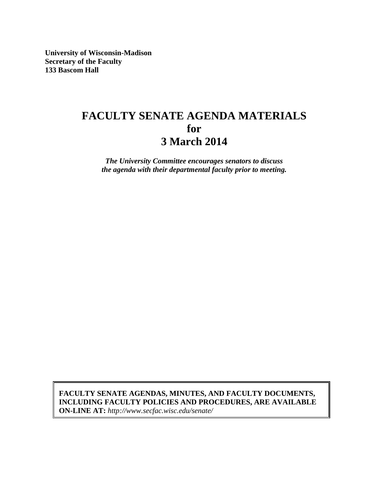**University of Wisconsin-Madison Secretary of the Faculty 133 Bascom Hall**

# **FACULTY SENATE AGENDA MATERIALS for 3 March 2014**

*The University Committee encourages senators to discuss the agenda with their departmental faculty prior to meeting.*

**FACULTY SENATE AGENDAS, MINUTES, AND FACULTY DOCUMENTS, INCLUDING FACULTY POLICIES AND PROCEDURES, ARE AVAILABLE ON-LINE AT:** *http://www.secfac.wisc.edu/senate/*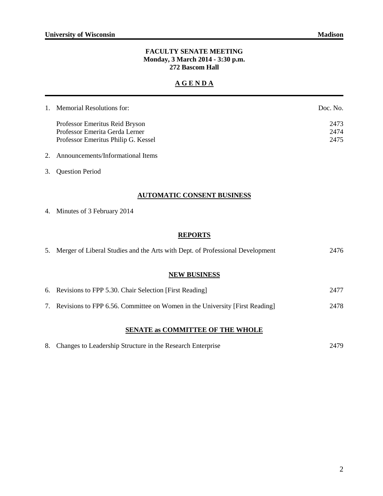#### **FACULTY SENATE MEETING Monday, 3 March 2014 - 3:30 p.m. 272 Bascom Hall**

# **A G E N D A**

| 1. Memorial Resolutions for:        | Doc. No. |
|-------------------------------------|----------|
| Professor Emeritus Reid Bryson      | 2473     |
| Professor Emerita Gerda Lerner      | 2474     |
| Professor Emeritus Philip G. Kessel | 2475     |

# 2. Announcements/Informational Items

3. Question Period

#### **AUTOMATIC CONSENT BUSINESS**

4. Minutes of 3 February 2014

# **REPORTS**

| 5. Merger of Liberal Studies and the Arts with Dept. of Professional Development | 2476 |  |  |
|----------------------------------------------------------------------------------|------|--|--|
|                                                                                  |      |  |  |
| <b>NEW BUSINESS</b>                                                              |      |  |  |
| 6. Revisions to FPP 5.30. Chair Selection [First Reading]                        | 2477 |  |  |
| 7. Revisions to FPP 6.56. Committee on Women in the University [First Reading]   | 2478 |  |  |
| <b>SENATE as COMMITTEE OF THE WHOLE</b>                                          |      |  |  |

|  | 8. Changes to Leadership Structure in the Research Enterprise |  | 2479 |
|--|---------------------------------------------------------------|--|------|
|--|---------------------------------------------------------------|--|------|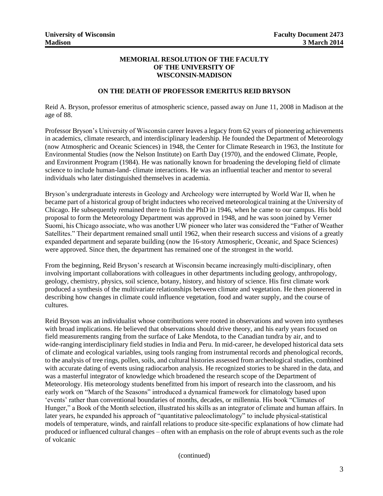#### **MEMORIAL RESOLUTION OF THE FACULTY OF THE UNIVERSITY OF WISCONSIN-MADISON**

#### **ON THE DEATH OF PROFESSOR EMERITUS REID BRYSON**

Reid A. Bryson, professor emeritus of atmospheric science, passed away on June 11, 2008 in Madison at the age of 88.

Professor Bryson's University of Wisconsin career leaves a legacy from 62 years of pioneering achievements in academics, climate research, and interdisciplinary leadership. He founded the Department of Meteorology (now Atmospheric and Oceanic Sciences) in 1948, the Center for Climate Research in 1963, the Institute for Environmental Studies (now the Nelson Institute) on Earth Day (1970), and the endowed Climate, People, and Environment Program (1984). He was nationally known for broadening the developing field of climate science to include human-land- climate interactions. He was an influential teacher and mentor to several individuals who later distinguished themselves in academia.

Bryson's undergraduate interests in Geology and Archeology were interrupted by World War II, when he became part of a historical group of bright inductees who received meteorological training at the University of Chicago. He subsequently remained there to finish the PhD in 1946, when he came to our campus. His bold proposal to form the Meteorology Department was approved in 1948, and he was soon joined by Verner Suomi, his Chicago associate, who was another UW pioneer who later was considered the "Father of Weather Satellites." Their department remained small until 1962, when their research success and visions of a greatly expanded department and separate building (now the 16-story Atmospheric, Oceanic, and Space Sciences) were approved. Since then, the department has remained one of the strongest in the world.

From the beginning, Reid Bryson's research at Wisconsin became increasingly multi-disciplinary, often involving important collaborations with colleagues in other departments including geology, anthropology, geology, chemistry, physics, soil science, botany, history, and history of science. His first climate work produced a synthesis of the multivariate relationships between climate and vegetation. He then pioneered in describing how changes in climate could influence vegetation, food and water supply, and the course of cultures.

Reid Bryson was an individualist whose contributions were rooted in observations and woven into syntheses with broad implications. He believed that observations should drive theory, and his early years focused on field measurements ranging from the surface of Lake Mendota, to the Canadian tundra by air, and to wide-ranging interdisciplinary field studies in India and Peru. In mid-career, he developed historical data sets of climate and ecological variables, using tools ranging from instrumental records and phenological records, to the analysis of tree rings, pollen, soils, and cultural histories assessed from archeological studies, combined with accurate dating of events using radiocarbon analysis. He recognized stories to be shared in the data, and was a masterful integrator of knowledge which broadened the research scope of the Department of Meteorology. His meteorology students benefitted from his import of research into the classroom, and his early work on "March of the Seasons" introduced a dynamical framework for climatology based upon 'events' rather than conventional boundaries of months, decades, or millennia. His book "Climates of Hunger," a Book of the Month selection, illustrated his skills as an integrator of climate and human affairs. In later years, he expanded his approach of "quantitative paleoclimatology" to include physical-statistical models of temperature, winds, and rainfall relations to produce site-specific explanations of how climate had produced or influenced cultural changes – often with an emphasis on the role of abrupt events such as the role of volcanic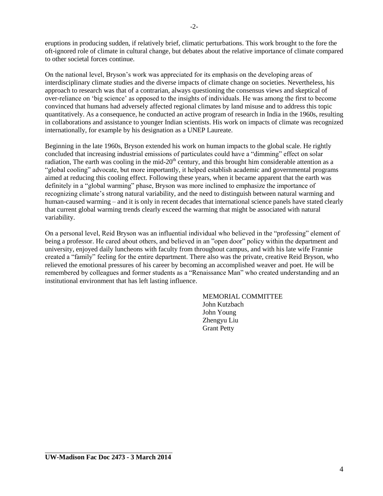eruptions in producing sudden, if relatively brief, climatic perturbations. This work brought to the fore the oft-ignored role of climate in cultural change, but debates about the relative importance of climate compared to other societal forces continue.

On the national level, Bryson's work was appreciated for its emphasis on the developing areas of interdisciplinary climate studies and the diverse impacts of climate change on societies. Nevertheless, his approach to research was that of a contrarian, always questioning the consensus views and skeptical of over-reliance on 'big science' as opposed to the insights of individuals. He was among the first to become convinced that humans had adversely affected regional climates by land misuse and to address this topic quantitatively. As a consequence, he conducted an active program of research in India in the 1960s, resulting in collaborations and assistance to younger Indian scientists. His work on impacts of climate was recognized internationally, for example by his designation as a UNEP Laureate.

Beginning in the late 1960s, Bryson extended his work on human impacts to the global scale. He rightly concluded that increasing industrial emissions of particulates could have a "dimming" effect on solar radiation, The earth was cooling in the mid-20<sup>th</sup> century, and this brought him considerable attention as a "global cooling" advocate, but more importantly, it helped establish academic and governmental programs aimed at reducing this cooling effect. Following these years, when it became apparent that the earth was definitely in a "global warming" phase, Bryson was more inclined to emphasize the importance of recognizing climate's strong natural variability, and the need to distinguish between natural warming and human-caused warming – and it is only in recent decades that international science panels have stated clearly that current global warming trends clearly exceed the warming that might be associated with natural variability.

On a personal level, Reid Bryson was an influential individual who believed in the "professing" element of being a professor. He cared about others, and believed in an "open door" policy within the department and university, enjoyed daily luncheons with faculty from throughout campus, and with his late wife Frannie created a "family" feeling for the entire department. There also was the private, creative Reid Bryson, who relieved the emotional pressures of his career by becoming an accomplished weaver and poet. He will be remembered by colleagues and former students as a "Renaissance Man" who created understanding and an institutional environment that has left lasting influence.

> MEMORIAL COMMITTEE John Kutzbach John Young Zhengyu Liu Grant Petty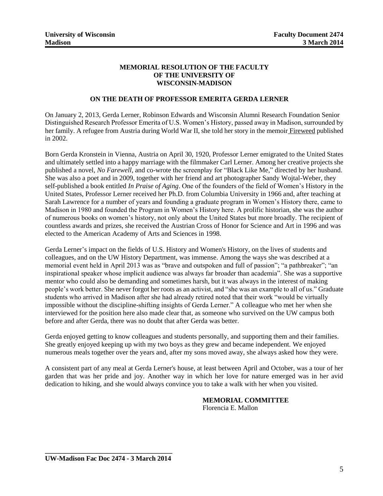#### **MEMORIAL RESOLUTION OF THE FACULTY OF THE UNIVERSITY OF WISCONSIN-MADISON**

#### **ON THE DEATH OF PROFESSOR EMERITA GERDA LERNER**

On January 2, 2013, Gerda Lerner, Robinson Edwards and Wisconsin Alumni Research Foundation Senior Distinguished Research Professor Emerita of U.S. Women's History, passed away in Madison, surrounded by her family. A refugee from Austria during World War II, she told her story in the memoir Fireweed published in 2002.

Born Gerda Kronstein in Vienna, Austria on April 30, 1920, Professor Lerner emigrated to the United States and ultimately settled into a happy marriage with the filmmaker Carl Lerner. Among her creative projects she published a novel, *No Farewell*, and co-wrote the screenplay for "Black Like Me," directed by her husband. She was also a poet and in 2009, together with her friend and art photographer Sandy Wojtal-Weber, they self-published a book entitled *In Praise of Aging*. One of the founders of the field of Women's History in the United States, Professor Lerner received her Ph.D. from Columbia University in 1966 and, after teaching at Sarah Lawrence for a number of years and founding a graduate program in Women's History there, came to Madison in 1980 and founded the Program in Women's History here. A prolific historian, she was the author of numerous books on women's history, not only about the United States but more broadly. The recipient of countless awards and prizes, she received the Austrian Cross of Honor for Science and Art in 1996 and was elected to the American Academy of Arts and Sciences in 1998.

Gerda Lerner's impact on the fields of U.S. History and Women's History, on the lives of students and colleagues, and on the UW History Department, was immense. Among the ways she was described at a memorial event held in April 2013 was as "brave and outspoken and full of passion"; "a pathbreaker"; "an inspirational speaker whose implicit audience was always far broader than academia". She was a supportive mentor who could also be demanding and sometimes harsh, but it was always in the interest of making people's work better. She never forgot her roots as an activist, and "she was an example to all of us." Graduate students who arrived in Madison after she had already retired noted that their work "would be virtually impossible without the discipline-shifting insights of Gerda Lerner." A colleague who met her when she interviewed for the position here also made clear that, as someone who survived on the UW campus both before and after Gerda, there was no doubt that after Gerda was better.

Gerda enjoyed getting to know colleagues and students personally, and supporting them and their families. She greatly enjoyed keeping up with my two boys as they grew and became independent. We enjoyed numerous meals together over the years and, after my sons moved away, she always asked how they were.

A consistent part of any meal at Gerda Lerner's house, at least between April and October, was a tour of her garden that was her pride and joy. Another way in which her love for nature emerged was in her avid dedication to hiking, and she would always convince you to take a walk with her when you visited.

# **MEMORIAL COMMITTEE**

Florencia E. Mallon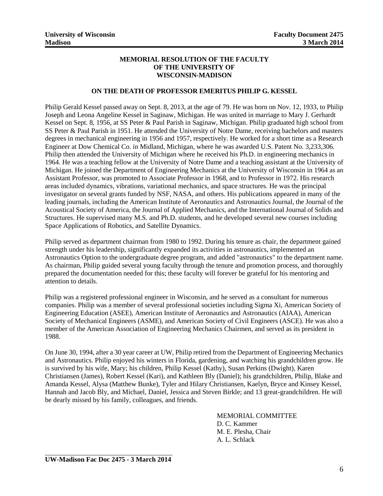#### **MEMORIAL RESOLUTION OF THE FACULTY OF THE UNIVERSITY OF WISCONSIN-MADISON**

#### **ON THE DEATH OF PROFESSOR EMERITUS PHILIP G. KESSEL**

Philip Gerald Kessel passed away on Sept. 8, 2013, at the age of 79. He was born on Nov. 12, 1933, to Philip Joseph and Leona Angeline Kessel in Saginaw, Michigan. He was united in marriage to Mary J. Gerhardt Kessel on Sept. 8, 1956, at SS Peter & Paul Parish in Saginaw, Michigan. Philip graduated high school from SS Peter & Paul Parish in 1951. He attended the University of Notre Dame, receiving bachelors and masters degrees in mechanical engineering in 1956 and 1957, respectively. He worked for a short time as a Research Engineer at Dow Chemical Co. in Midland, Michigan, where he was awarded U.S. Patent No. 3,233,306. Philip then attended the University of Michigan where he received his Ph.D. in engineering mechanics in 1964. He was a teaching fellow at the University of Notre Dame and a teaching assistant at the University of Michigan. He joined the Department of Engineering Mechanics at the University of Wisconsin in 1964 as an Assistant Professor, was promoted to Associate Professor in 1968, and to Professor in 1972. His research areas included dynamics, vibrations, variational mechanics, and space structures. He was the principal investigator on several grants funded by NSF, NASA, and others. His publications appeared in many of the leading journals, including the American Institute of Aeronautics and Astronautics Journal, the Journal of the Acoustical Society of America, the Journal of Applied Mechanics, and the International Journal of Solids and Structures. He supervised many M.S. and Ph.D. students, and he developed several new courses including Space Applications of Robotics, and Satellite Dynamics.

Philip served as department chairman from 1980 to 1992. During his tenure as chair, the department gained strength under his leadership, significantly expanded its activities in astronautics, implemented an Astronautics Option to the undergraduate degree program, and added "astronautics" to the department name. As chairman, Philip guided several young faculty through the tenure and promotion process, and thoroughly prepared the documentation needed for this; these faculty will forever be grateful for his mentoring and attention to details.

Philip was a registered professional engineer in Wisconsin, and he served as a consultant for numerous companies. Philip was a member of several professional societies including Sigma Xi, American Society of Engineering Education (ASEE), American Institute of Aeronautics and Astronautics (AIAA), American Society of Mechanical Engineers (ASME), and American Society of Civil Engineers (ASCE). He was also a member of the American Association of Engineering Mechanics Chairmen, and served as its president in 1988.

On June 30, 1994, after a 30 year career at UW, Philip retired from the Department of Engineering Mechanics and Astronautics. Philip enjoyed his winters in Florida, gardening, and watching his grandchildren grow. He is survived by his wife, Mary; his children, Philip Kessel (Kathy), Susan Perkins (Dwight), Karen Christiansen (James), Robert Kessel (Kari), and Kathleen Bly (Daniel); his grandchildren, Philip, Blake and Amanda Kessel, Alysa (Matthew Bunke), Tyler and Hilary Christiansen, Kaelyn, Bryce and Kinsey Kessel, Hannah and Jacob Bly, and Michael, Daniel, Jessica and Steven Birkle; and 13 great-grandchildren. He will be dearly missed by his family, colleagues, and friends.

> MEMORIAL COMMITTEE D. C. Kammer M. E. Plesha, Chair A. L. Schlack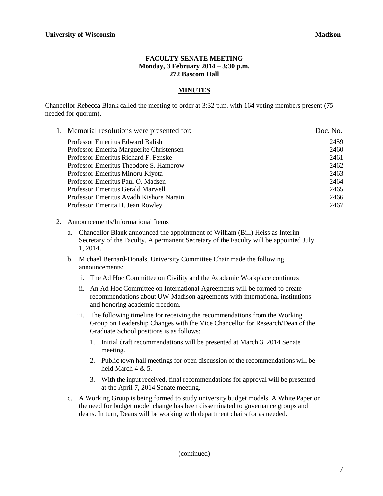#### **FACULTY SENATE MEETING Monday, 3 February 2014 – 3:30 p.m. 272 Bascom Hall**

#### **MINUTES**

Chancellor Rebecca Blank called the meeting to order at 3:32 p.m. with 164 voting members present (75 needed for quorum).

| 1. Memorial resolutions were presented for: | Doc. No. |
|---------------------------------------------|----------|
| Professor Emeritus Edward Balish            | 2459     |
| Professor Emerita Marguerite Christensen    | 2460     |
| Professor Emeritus Richard F. Fenske        | 2461     |
| Professor Emeritus Theodore S. Hamerow      | 2462     |
| Professor Emeritus Minoru Kiyota            | 2463     |
| Professor Emeritus Paul O. Madsen           | 2464     |
| Professor Emeritus Gerald Marwell           | 2465     |
| Professor Emeritus Avadh Kishore Narain     | 2466     |
| Professor Emerita H. Jean Rowley            | 2467     |
|                                             |          |

- 2. Announcements/Informational Items
	- a. Chancellor Blank announced the appointment of William (Bill) Heiss as Interim Secretary of the Faculty. A permanent Secretary of the Faculty will be appointed July 1, 2014.
	- b. Michael Bernard-Donals, University Committee Chair made the following announcements:
		- i. The Ad Hoc Committee on Civility and the Academic Workplace continues
		- ii. An Ad Hoc Committee on International Agreements will be formed to create recommendations about UW-Madison agreements with international institutions and honoring academic freedom.
		- iii. The following timeline for receiving the recommendations from the Working Group on Leadership Changes with the Vice Chancellor for Research/Dean of the Graduate School positions is as follows:
			- 1. Initial draft recommendations will be presented at March 3, 2014 Senate meeting.
			- 2. Public town hall meetings for open discussion of the recommendations will be held March 4 & 5.
			- 3. With the input received, final recommendations for approval will be presented at the April 7, 2014 Senate meeting.
	- c. A Working Group is being formed to study university budget models. A White Paper on the need for budget model change has been disseminated to governance groups and deans. In turn, Deans will be working with department chairs for as needed.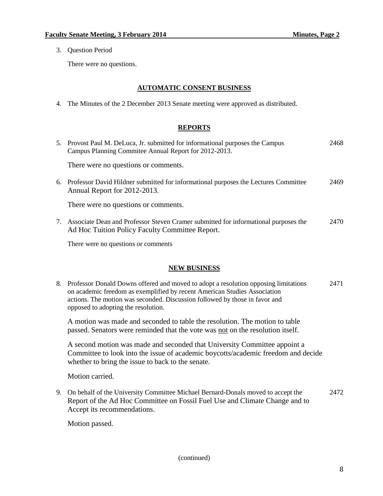3. Question Period

There were no questions.

# **AUTOMATIC CONSENT BUSINESS**

4. The Minutes of the 2 December 2013 Senate meeting were approved as distributed.

# **REPORTS**

|    | 5. Provost Paul M. DeLuca, Jr. submitted for informational purposes the Campus<br>Campus Planning Commitee Annual Report for 2012-2013. | 2468 |
|----|-----------------------------------------------------------------------------------------------------------------------------------------|------|
|    | There were no questions or comments.                                                                                                    |      |
| 6. | Professor David Hildner submitted for informational purposes the Lectures Committee<br>Annual Report for 2012-2013.                     | 2469 |
|    | There were no questions or comments.                                                                                                    |      |
|    | Associate Dean and Professor Steven Cramer submitted for informational purposes the<br>Ad Hoc Tuition Policy Faculty Committee Report.  | 2470 |

There were no questions or comments

### **NEW BUSINESS**

| 8. Professor Donald Downs offered and moved to adopt a resolution opposing limitations | 2471 |
|----------------------------------------------------------------------------------------|------|
| on academic freedom as exemplified by recent American Studies Association              |      |
| actions. The motion was seconded. Discussion followed by those in favor and            |      |
| opposed to adopting the resolution.                                                    |      |
|                                                                                        |      |

A motion was made and seconded to table the resolution. The motion to table passed. Senators were reminded that the vote was not on the resolution itself.

A second motion was made and seconded that University Committee appoint a Committee to look into the issue of academic boycotts/academic freedom and decide whether to bring the issue to back to the senate.

Motion carried.

9. On behalf of the University Committee Michael Bernard-Donals moved to accept the 2472 Report of the Ad Hoc Committee on Fossil Fuel Use and Climate Change and to Accept its recommendations.

Motion passed.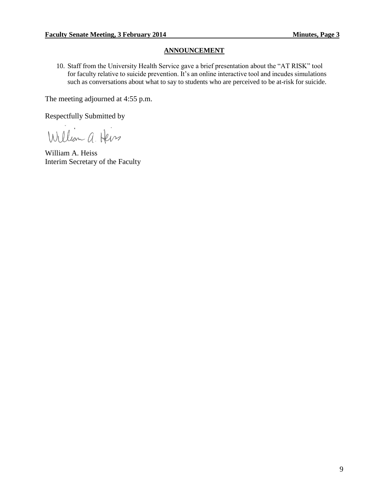#### **ANNOUNCEMENT**

10. Staff from the University Health Service gave a brief presentation about the "AT RISK" tool for faculty relative to suicide prevention. It's an online interactive tool and incudes simulations such as conversations about what to say to students who are perceived to be at-risk for suicide.

The meeting adjourned at 4:55 p.m.

Respectfully Submitted by

William a Heiss

William A. Heiss Interim Secretary of the Faculty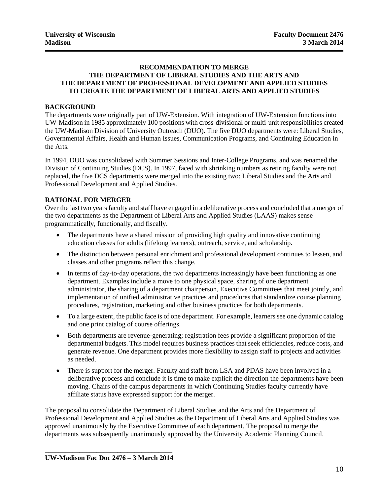#### **RECOMMENDATION TO MERGE THE DEPARTMENT OF LIBERAL STUDIES AND THE ARTS AND THE DEPARTMENT OF PROFESSIONAL DEVELOPMENT AND APPLIED STUDIES TO CREATE THE DEPARTMENT OF LIBERAL ARTS AND APPLIED STUDIES**

#### **BACKGROUND**

The departments were originally part of UW-Extension. With integration of UW-Extension functions into UW-Madison in 1985 approximately 100 positions with cross-divisional or multi-unit responsibilities created the UW-Madison Division of University Outreach (DUO). The five DUO departments were: Liberal Studies, Governmental Affairs, Health and Human Issues, Communication Programs, and Continuing Education in the Arts.

In 1994, DUO was consolidated with Summer Sessions and Inter-College Programs, and was renamed the Division of Continuing Studies (DCS). In 1997, faced with shrinking numbers as retiring faculty were not replaced, the five DCS departments were merged into the existing two: Liberal Studies and the Arts and Professional Development and Applied Studies.

#### **RATIONAL FOR MERGER**

Over the last two years faculty and staff have engaged in a deliberative process and concluded that a merger of the two departments as the Department of Liberal Arts and Applied Studies (LAAS) makes sense programmatically, functionally, and fiscally.

- The departments have a shared mission of providing high quality and innovative continuing education classes for adults (lifelong learners), outreach, service, and scholarship.
- The distinction between personal enrichment and professional development continues to lessen, and classes and other programs reflect this change.
- In terms of day-to-day operations, the two departments increasingly have been functioning as one department. Examples include a move to one physical space, sharing of one department administrator, the sharing of a department chairperson, Executive Committees that meet jointly, and implementation of unified administrative practices and procedures that standardize course planning procedures, registration, marketing and other business practices for both departments.
- To a large extent, the public face is of one department. For example, learners see one dynamic catalog and one print catalog of course offerings.
- Both departments are revenue-generating; registration fees provide a significant proportion of the departmental budgets. This model requires business practices that seek efficiencies, reduce costs, and generate revenue. One department provides more flexibility to assign staff to projects and activities as needed.
- There is support for the merger. Faculty and staff from LSA and PDAS have been involved in a deliberative process and conclude it is time to make explicit the direction the departments have been moving. Chairs of the campus departments in which Continuing Studies faculty currently have affiliate status have expressed support for the merger.

The proposal to consolidate the Department of Liberal Studies and the Arts and the Department of Professional Development and Applied Studies as the Department of Liberal Arts and Applied Studies was approved unanimously by the Executive Committee of each department. The proposal to merge the departments was subsequently unanimously approved by the University Academic Planning Council.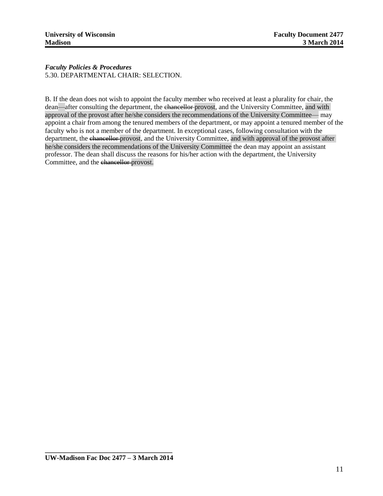*Faculty Policies & Procedures* 5.30. DEPARTMENTAL CHAIR: SELECTION.

B. If the dean does not wish to appoint the faculty member who received at least a plurality for chair, the dean—after consulting the department, the chancellor provost, and the University Committee, and with approval of the provost after he/she considers the recommendations of the University Committee— may appoint a chair from among the tenured members of the department, or may appoint a tenured member of the faculty who is not a member of the department. In exceptional cases, following consultation with the department, the chancellor provost, and the University Committee, and with approval of the provost after he/she considers the recommendations of the University Committee the dean may appoint an assistant professor. The dean shall discuss the reasons for his/her action with the department, the University Committee, and the chancellor provost.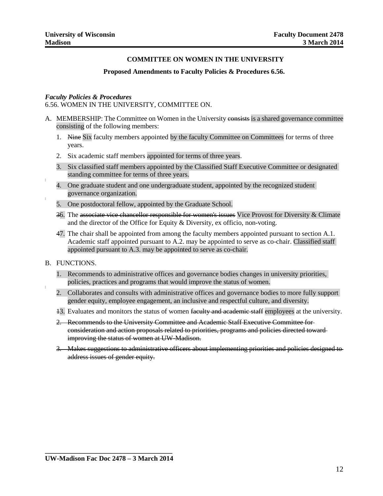#### **COMMITTEE ON WOMEN IN THE UNIVERSITY**

#### **Proposed Amendments to Faculty Policies & Procedures 6.56.**

#### *Faculty Policies & Procedures*

6.56. WOMEN IN THE UNIVERSITY, COMMITTEE ON.

- A. MEMBERSHIP: The Committee on Women in the University consists is a shared governance committee consisting of the following members:
	- 1. Nine Six faculty members appointed by the faculty Committee on Committees for terms of three years.
	- 2. Six academic staff members appointed for terms of three years.
	- 3. Six classified staff members appointed by the Classified Staff Executive Committee or designated standing committee for terms of three years.
	- 4. One graduate student and one undergraduate student, appointed by the recognized student governance organization.
	- 5. One postdoctoral fellow, appointed by the Graduate School.
	- 36. The associate vice chancellor responsible for women's issues Vice Provost for Diversity & Climate and the director of the Office for Equity & Diversity, ex officio, non-voting.
	- 47. The chair shall be appointed from among the faculty members appointed pursuant to section A.1. Academic staff appointed pursuant to A.2. may be appointed to serve as co-chair. Classified staff appointed pursuant to A.3. may be appointed to serve as co-chair.

#### B. FUNCTIONS.

- 1. Recommends to administrative offices and governance bodies changes in university priorities, policies, practices and programs that would improve the status of women.
- 2. Collaborates and consults with administrative offices and governance bodies to more fully support gender equity, employee engagement, an inclusive and respectful culture, and diversity.
- 13. Evaluates and monitors the status of women faculty and academic staff employees at the university.
- 2. Recommends to the University Committee and Academic Staff Executive Committee for consideration and action proposals related to priorities, programs and policies directed toward improving the status of women at UW-Madison.
- 3. Makes suggestions to administrative officers about implementing priorities and policies designed to address issues of gender equity.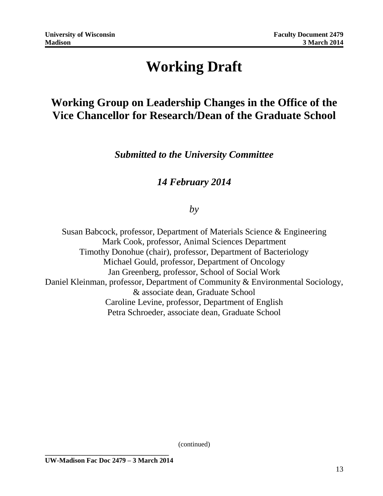# **Working Draft**

# **Working Group on Leadership Changes in the Office of the Vice Chancellor for Research/Dean of the Graduate School**

*Submitted to the University Committee*

# *14 February 2014*

# *by*

Susan Babcock, professor, Department of Materials Science & Engineering Mark Cook, professor, Animal Sciences Department Timothy Donohue (chair), professor, Department of Bacteriology Michael Gould, professor, Department of Oncology Jan Greenberg, professor, School of Social Work Daniel Kleinman, professor, Department of Community & Environmental Sociology, & associate dean, Graduate School Caroline Levine, professor, Department of English Petra Schroeder, associate dean, Graduate School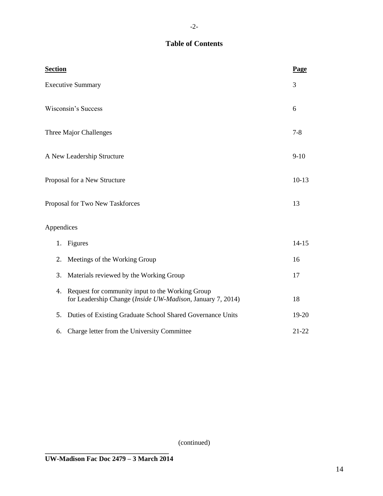# **Table of Contents**

| <b>Section</b>                  |                                                                                                                | Page      |
|---------------------------------|----------------------------------------------------------------------------------------------------------------|-----------|
| <b>Executive Summary</b>        |                                                                                                                | 3         |
| <b>Wisconsin's Success</b>      |                                                                                                                | 6         |
| Three Major Challenges          |                                                                                                                | $7 - 8$   |
| A New Leadership Structure      |                                                                                                                | $9-10$    |
| Proposal for a New Structure    |                                                                                                                | $10-13$   |
| Proposal for Two New Taskforces |                                                                                                                | 13        |
| Appendices                      |                                                                                                                |           |
| 1.                              | Figures                                                                                                        | $14 - 15$ |
| 2.                              | Meetings of the Working Group                                                                                  | 16        |
| 3.                              | Materials reviewed by the Working Group                                                                        | 17        |
| 4.                              | Request for community input to the Working Group<br>for Leadership Change (Inside UW-Madison, January 7, 2014) | 18        |
| 5.                              | Duties of Existing Graduate School Shared Governance Units                                                     | 19-20     |
| 6.                              | Charge letter from the University Committee                                                                    | $21 - 22$ |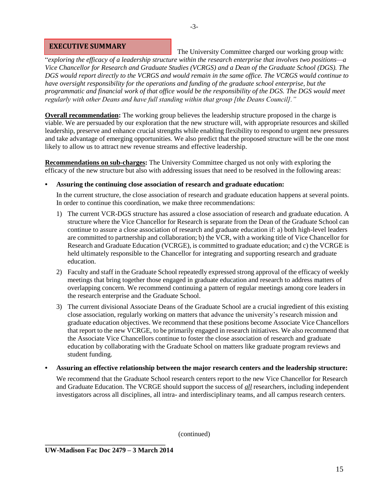#### **EXECUTIVE SUMMARY**

The University Committee charged our working group with: "*exploring the efficacy of a leadership structure within the research enterprise that involves two positions—a Vice Chancellor for Research and Graduate Studies (VCRGS) and a Dean of the Graduate School (DGS). The DGS would report directly to the VCRGS and would remain in the same office. The VCRGS would continue to have oversight responsibility for the operations and funding of the graduate school enterprise, but the programmatic and financial work of that office would be the responsibility of the DGS. The DGS would meet regularly with other Deans and have full standing within that group [the Deans Council]."*

**Overall recommendation:** The working group believes the leadership structure proposed in the charge is viable. We are persuaded by our exploration that the new structure will, with appropriate resources and skilled leadership, preserve and enhance crucial strengths while enabling flexibility to respond to urgent new pressures and take advantage of emerging opportunities. We also predict that the proposed structure will be the one most likely to allow us to attract new revenue streams and effective leadership.

**Recommendations on sub-charges:** The University Committee charged us not only with exploring the efficacy of the new structure but also with addressing issues that need to be resolved in the following areas:

#### **• Assuring the continuing close association of research and graduate education:**

In the current structure, the close association of research and graduate education happens at several points. In order to continue this coordination, we make three recommendations:

- 1) The current VCR-DGS structure has assured a close association of research and graduate education. A structure where the Vice Chancellor for Research is separate from the Dean of the Graduate School can continue to assure a close association of research and graduate education if: a) both high-level leaders are committed to partnership and collaboration; b) the VCR, with a working title of Vice Chancellor for Research and Graduate Education (VCRGE), is committed to graduate education; and c) the VCRGE is held ultimately responsible to the Chancellor for integrating and supporting research and graduate education.
- 2) Faculty and staff in the Graduate School repeatedly expressed strong approval of the efficacy of weekly meetings that bring together those engaged in graduate education and research to address matters of overlapping concern. We recommend continuing a pattern of regular meetings among core leaders in the research enterprise and the Graduate School.
- 3) The current divisional Associate Deans of the Graduate School are a crucial ingredient of this existing close association, regularly working on matters that advance the university's research mission and graduate education objectives. We recommend that these positions become Associate Vice Chancellors that report to the new VCRGE, to be primarily engaged in research initiatives. We also recommend that the Associate Vice Chancellors continue to foster the close association of research and graduate education by collaborating with the Graduate School on matters like graduate program reviews and student funding.

#### **• Assuring an effective relationship between the major research centers and the leadership structure:**

We recommend that the Graduate School research centers report to the new Vice Chancellor for Research and Graduate Education. The VCRGE should support the success of *all* researchers, including independent investigators across all disciplines, all intra- and interdisciplinary teams, and all campus research centers.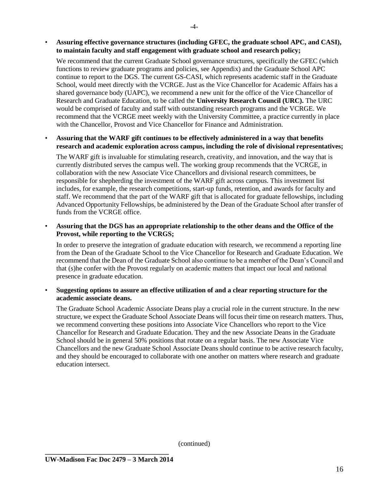We recommend that the current Graduate School governance structures, specifically the GFEC (which functions to review graduate programs and policies, see Appendix) and the Graduate School APC continue to report to the DGS. The current GS-CASI, which represents academic staff in the Graduate School, would meet directly with the VCRGE. Just as the Vice Chancellor for Academic Affairs has a shared governance body (UAPC), we recommend a new unit for the office of the Vice Chancellor of Research and Graduate Education, to be called the **University Research Council (URC).** The URC would be comprised of faculty and staff with outstanding research programs and the VCRGE. We recommend that the VCRGE meet weekly with the University Committee, a practice currently in place with the Chancellor, Provost and Vice Chancellor for Finance and Administration.

#### • **Assuring that the WARF gift continues to be effectively administered in a way that benefits research and academic exploration across campus, including the role of divisional representatives;**

The WARF gift is invaluable for stimulating research, creativity, and innovation, and the way that is currently distributed serves the campus well. The working group recommends that the VCRGE, in collaboration with the new Associate Vice Chancellors and divisional research committees, be responsible for shepherding the investment of the WARF gift across campus. This investment list includes, for example, the research competitions, start-up funds, retention, and awards for faculty and staff. We recommend that the part of the WARF gift that is allocated for graduate fellowships, including Advanced Opportunity Fellowships, be administered by the Dean of the Graduate School after transfer of funds from the VCRGE office.

#### • **Assuring that the DGS has an appropriate relationship to the other deans and the Office of the Provost, while reporting to the VCRGS;**

In order to preserve the integration of graduate education with research, we recommend a reporting line from the Dean of the Graduate School to the Vice Chancellor for Research and Graduate Education. We recommend that the Dean of the Graduate School also continue to be a member of the Dean's Council and that (s)he confer with the Provost regularly on academic matters that impact our local and national presence in graduate education.

#### • **Suggesting options to assure an effective utilization of and a clear reporting structure for the academic associate deans.**

The Graduate School Academic Associate Deans play a crucial role in the current structure. In the new structure, we expect the Graduate School Associate Deans will focus their time on research matters. Thus, we recommend converting these positions into Associate Vice Chancellors who report to the Vice Chancellor for Research and Graduate Education. They and the new Associate Deans in the Graduate School should be in general 50% positions that rotate on a regular basis. The new Associate Vice Chancellors and the new Graduate School Associate Deans should continue to be active research faculty, and they should be encouraged to collaborate with one another on matters where research and graduate education intersect.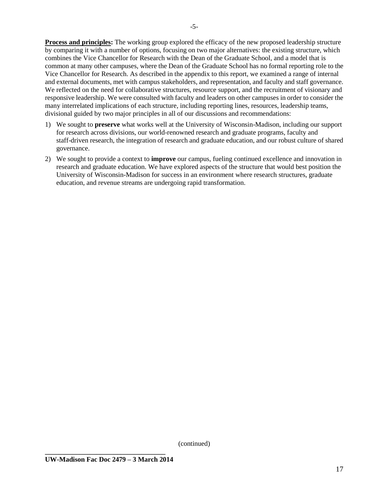**Process and principles:** The working group explored the efficacy of the new proposed leadership structure by comparing it with a number of options, focusing on two major alternatives: the existing structure, which combines the Vice Chancellor for Research with the Dean of the Graduate School, and a model that is common at many other campuses, where the Dean of the Graduate School has no formal reporting role to the Vice Chancellor for Research. As described in the appendix to this report, we examined a range of internal and external documents, met with campus stakeholders, and representation, and faculty and staff governance. We reflected on the need for collaborative structures, resource support, and the recruitment of visionary and responsive leadership. We were consulted with faculty and leaders on other campuses in order to consider the many interrelated implications of each structure, including reporting lines, resources, leadership teams, divisional guided by two major principles in all of our discussions and recommendations:

- 1) We sought to **preserve** what works well at the University of Wisconsin-Madison, including our support for research across divisions, our world-renowned research and graduate programs, faculty and staff-driven research, the integration of research and graduate education, and our robust culture of shared governance.
- 2) We sought to provide a context to **improve** our campus, fueling continued excellence and innovation in research and graduate education. We have explored aspects of the structure that would best position the University of Wisconsin-Madison for success in an environment where research structures, graduate education, and revenue streams are undergoing rapid transformation.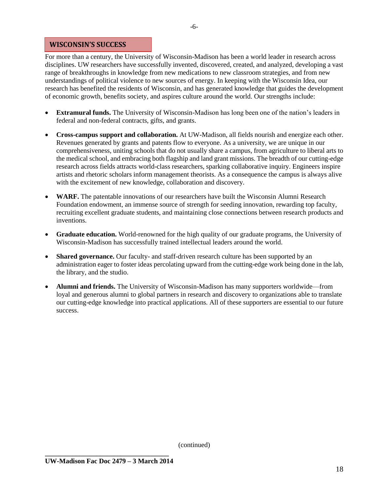#### **WISCONSIN'S SUCCESS**

For more than a century, the University of Wisconsin-Madison has been a world leader in research across disciplines. UW researchers have successfully invented, discovered, created, and analyzed, developing a vast range of breakthroughs in knowledge from new medications to new classroom strategies, and from new understandings of political violence to new sources of energy. In keeping with the Wisconsin Idea, our research has benefited the residents of Wisconsin, and has generated knowledge that guides the development of economic growth, benefits society, and aspires culture around the world. Our strengths include:

- **Extramural funds.** The University of Wisconsin-Madison has long been one of the nation's leaders in federal and non-federal contracts, gifts, and grants.
- **Cross-campus support and collaboration.** At UW-Madison, all fields nourish and energize each other. Revenues generated by grants and patents flow to everyone. As a university, we are unique in our comprehensiveness, uniting schools that do not usually share a campus, from agriculture to liberal arts to the medical school, and embracing both flagship and land grant missions. The breadth of our cutting-edge research across fields attracts world-class researchers, sparking collaborative inquiry. Engineers inspire artists and rhetoric scholars inform management theorists. As a consequence the campus is always alive with the excitement of new knowledge, collaboration and discovery.
- **WARF.** The patentable innovations of our researchers have built the Wisconsin Alumni Research Foundation endowment, an immense source of strength for seeding innovation, rewarding top faculty, recruiting excellent graduate students, and maintaining close connections between research products and inventions.
- **Graduate education.** World-renowned for the high quality of our graduate programs, the University of Wisconsin-Madison has successfully trained intellectual leaders around the world.
- **Shared governance.** Our faculty- and staff-driven research culture has been supported by an administration eager to foster ideas percolating upward from the cutting-edge work being done in the lab, the library, and the studio.
- **Alumni and friends.** The University of Wisconsin-Madison has many supporters worldwide—from loyal and generous alumni to global partners in research and discovery to organizations able to translate our cutting-edge knowledge into practical applications. All of these supporters are essential to our future success.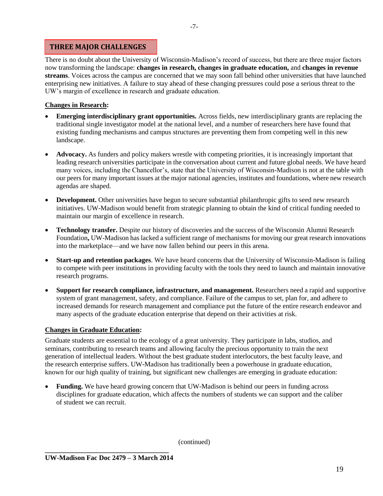#### **THREE MAJOR CHALLENGES**

There is no doubt about the University of Wisconsin-Madison's record of success, but there are three major factors now transforming the landscape: **changes in research, changes in graduate education,** and **changes in revenue streams**. Voices across the campus are concerned that we may soon fall behind other universities that have launched enterprising new initiatives. A failure to stay ahead of these changing pressures could pose a serious threat to the UW's margin of excellence in research and graduate education.

#### **Changes in Research:**

- **Emerging interdisciplinary grant opportunities.** Across fields, new interdisciplinary grants are replacing the traditional single investigator model at the national level, and a number of researchers here have found that existing funding mechanisms and campus structures are preventing them from competing well in this new landscape.
- **Advocacy.** As funders and policy makers wrestle with competing priorities, it is increasingly important that leading research universities participate in the conversation about current and future global needs. We have heard many voices, including the Chancellor's, state that the University of Wisconsin-Madison is not at the table with our peers for many important issues at the major national agencies, institutes and foundations, where new research agendas are shaped.
- **Development.** Other universities have begun to secure substantial philanthropic gifts to seed new research initiatives. UW-Madison would benefit from strategic planning to obtain the kind of critical funding needed to maintain our margin of excellence in research.
- **Technology transfer.** Despite our history of discoveries and the success of the Wisconsin Alumni Research Foundation**,** UW-Madison has lacked a sufficient range of mechanisms for moving our great research innovations into the marketplace—and we have now fallen behind our peers in this arena.
- **Start-up and retention packages**. We have heard concerns that the University of Wisconsin-Madison is failing to compete with peer institutions in providing faculty with the tools they need to launch and maintain innovative research programs.
- **Support for research compliance, infrastructure, and management.** Researchers need a rapid and supportive system of grant management, safety, and compliance. Failure of the campus to set, plan for, and adhere to increased demands for research management and compliance put the future of the entire research endeavor and many aspects of the graduate education enterprise that depend on their activities at risk.

### **Changes in Graduate Education:**

Graduate students are essential to the ecology of a great university. They participate in labs, studios, and seminars, contributing to research teams and allowing faculty the precious opportunity to train the next generation of intellectual leaders. Without the best graduate student interlocutors, the best faculty leave, and the research enterprise suffers. UW-Madison has traditionally been a powerhouse in graduate education, known for our high quality of training, but significant new challenges are emerging in graduate education:

 **Funding.** We have heard growing concern that UW-Madison is behind our peers in funding across disciplines for graduate education, which affects the numbers of students we can support and the caliber of student we can recruit.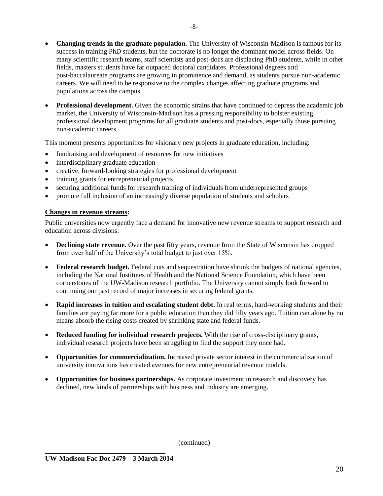- **Changing trends in the graduate population.** The University of Wisconsin-Madison is famous for its success in training PhD students, but the doctorate is no longer the dominant model across fields. On many scientific research teams, staff scientists and post-docs are displacing PhD students, while in other fields, masters students have far outpaced doctoral candidates. Professional degrees and post-baccalaureate programs are growing in prominence and demand, as students pursue non-academic careers. We will need to be responsive to the complex changes affecting graduate programs and populations across the campus.
- **Professional development.** Given the economic strains that have continued to depress the academic job market, the University of Wisconsin-Madison has a pressing responsibility to bolster existing professional development programs for all graduate students and post-docs, especially those pursuing non-academic careers.

This moment presents opportunities for visionary new projects in graduate education, including:

- fundraising and development of resources for new initiatives
- interdisciplinary graduate education
- creative, forward-looking strategies for professional development
- training grants for entrepreneurial projects
- securing additional funds for research training of individuals from underrepresented groups
- promote full inclusion of an increasingly diverse population of students and scholars

#### **Changes in revenue streams:**

Public universities now urgently face a demand for innovative new revenue streams to support research and education across divisions.

- **Declining state revenue.** Over the past fifty years, revenue from the State of Wisconsin has dropped from over half of the University's total budget to just over 15%.
- **Federal research budget.** Federal cuts and sequestration have shrunk the budgets of national agencies, including the National Institutes of Health and the National Science Foundation, which have been cornerstones of the UW-Madison research portfolio. The University cannot simply look forward to continuing our past record of major increases in securing federal grants.
- **Rapid increases in tuition and escalating student debt.** In real terms, hard-working students and their families are paying far more for a public education than they did fifty years ago. Tuition can alone by no means absorb the rising costs created by shrinking state and federal funds.
- **Reduced funding for individual research projects.** With the rise of cross-disciplinary grants, individual research projects have been struggling to find the support they once had.
- **Opportunities for commercialization.** Increased private sector interest in the commercialization of university innovations has created avenues for new entrepreneurial revenue models.
- **Opportunities for business partnerships.** As corporate investment in research and discovery has declined, new kinds of partnerships with business and industry are emerging.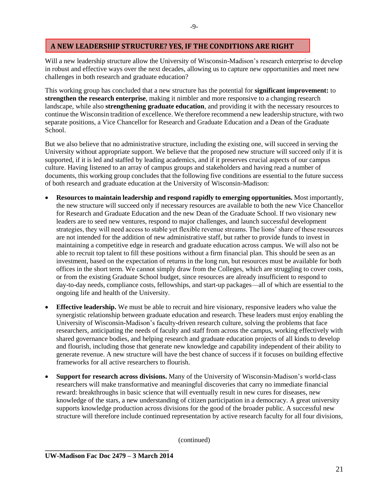#### **A NEW LEADERSHIP STRUCTURE? YES, IF THE CONDITIONS ARE RIGHT**

Will a new leadership structure allow the University of Wisconsin-Madison's research enterprise to develop in robust and effective ways over the next decades, allowing us to capture new opportunities and meet new challenges in both research and graduate education?

This working group has concluded that a new structure has the potential for **significant improvement:** to **strengthen the research enterprise**, making it nimbler and more responsive to a changing research landscape, while also **strengthening graduate education**, and providing it with the necessary resources to continue the Wisconsin tradition of excellence. We therefore recommend a new leadership structure, with two separate positions, a Vice Chancellor for Research and Graduate Education and a Dean of the Graduate School.

But we also believe that no administrative structure, including the existing one, will succeed in serving the University without appropriate support. We believe that the proposed new structure will succeed only if it is supported, if it is led and staffed by leading academics, and if it preserves crucial aspects of our campus culture. Having listened to an array of campus groups and stakeholders and having read a number of documents, this working group concludes that the following five conditions are essential to the future success of both research and graduate education at the University of Wisconsin-Madison:

- **Resources to maintain leadership and respond rapidly to emerging opportunities.** Most importantly, the new structure will succeed only if necessary resources are available to both the new Vice Chancellor for Research and Graduate Education and the new Dean of the Graduate School. If two visionary new leaders are to seed new ventures, respond to major challenges, and launch successful development strategies, they will need access to stable yet flexible revenue streams. The lions' share of these resources are not intended for the addition of new administrative staff, but rather to provide funds to invest in maintaining a competitive edge in research and graduate education across campus. We will also not be able to recruit top talent to fill these positions without a firm financial plan. This should be seen as an investment, based on the expectation of returns in the long run, but resources must be available for both offices in the short term. We cannot simply draw from the Colleges, which are struggling to cover costs, or from the existing Graduate School budget, since resources are already insufficient to respond to day-to-day needs, compliance costs, fellowships, and start-up packages—all of which are essential to the ongoing life and health of the University.
- **Effective leadership.** We must be able to recruit and hire visionary, responsive leaders who value the synergistic relationship between graduate education and research. These leaders must enjoy enabling the University of Wisconsin-Madison's faculty-driven research culture, solving the problems that face researchers, anticipating the needs of faculty and staff from across the campus, working effectively with shared governance bodies, and helping research and graduate education projects of all kinds to develop and flourish, including those that generate new knowledge and capability independent of their ability to generate revenue. A new structure will have the best chance of success if it focuses on building effective frameworks for all active researchers to flourish.
- **Support for research across divisions.** Many of the University of Wisconsin-Madison's world-class researchers will make transformative and meaningful discoveries that carry no immediate financial reward: breakthroughs in basic science that will eventually result in new cures for diseases, new knowledge of the stars, a new understanding of citizen participation in a democracy. A great university supports knowledge production across divisions for the good of the broader public. A successful new structure will therefore include continued representation by active research faculty for all four divisions,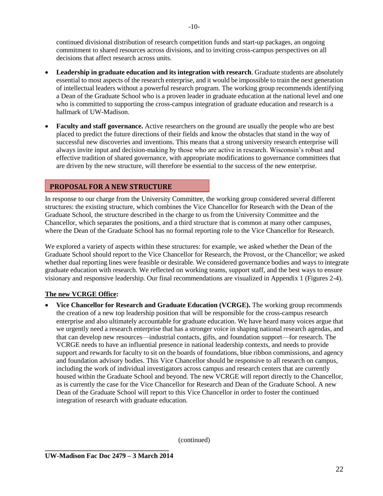continued divisional distribution of research competition funds and start-up packages, an ongoing commitment to shared resources across divisions, and to inviting cross-campus perspectives on all decisions that affect research across units.

- **Leadership in graduate education and its integration with research**. Graduate students are absolutely essential to most aspects of the research enterprise, and it would be impossible to train the next generation of intellectual leaders without a powerful research program. The working group recommends identifying a Dean of the Graduate School who is a proven leader in graduate education at the national level and one who is committed to supporting the cross-campus integration of graduate education and research is a hallmark of UW-Madison.
- **Faculty and staff governance.** Active researchers on the ground are usually the people who are best placed to predict the future directions of their fields and know the obstacles that stand in the way of successful new discoveries and inventions. This means that a strong university research enterprise will always invite input and decision-making by those who are active in research. Wisconsin's robust and effective tradition of shared governance, with appropriate modifications to governance committees that are driven by the new structure, will therefore be essential to the success of the new enterprise.

# **PROPOSAL FOR A NEW STRUCTURE**

In response to our charge from the University Committee, the working group considered several different structures: the existing structure, which combines the Vice Chancellor for Research with the Dean of the Graduate School, the structure described in the charge to us from the University Committee and the Chancellor, which separates the positions, and a third structure that is common at many other campuses, where the Dean of the Graduate School has no formal reporting role to the Vice Chancellor for Research.

We explored a variety of aspects within these structures: for example, we asked whether the Dean of the Graduate School should report to the Vice Chancellor for Research, the Provost, or the Chancellor; we asked whether dual reporting lines were feasible or desirable. We considered governance bodies and ways to integrate graduate education with research. We reflected on working teams, support staff, and the best ways to ensure visionary and responsive leadership. Our final recommendations are visualized in Appendix 1 (Figures 2-4).

### **The new VCRGE Office:**

 **Vice Chancellor for Research and Graduate Education (VCRGE).** The working group recommends the creation of a new top leadership position that will be responsible for the cross-campus research enterprise and also ultimately accountable for graduate education. We have heard many voices argue that we urgently need a research enterprise that has a stronger voice in shaping national research agendas, and that can develop new resources—industrial contacts, gifts, and foundation support—for research. The VCRGE needs to have an influential presence in national leadership contexts, and needs to provide support and rewards for faculty to sit on the boards of foundations, blue ribbon commissions, and agency and foundation advisory bodies. This Vice Chancellor should be responsive to all research on campus, including the work of individual investigators across campus and research centers that are currently housed within the Graduate School and beyond. The new VCRGE will report directly to the Chancellor, as is currently the case for the Vice Chancellor for Research and Dean of the Graduate School. A new Dean of the Graduate School will report to this Vice Chancellor in order to foster the continued integration of research with graduate education.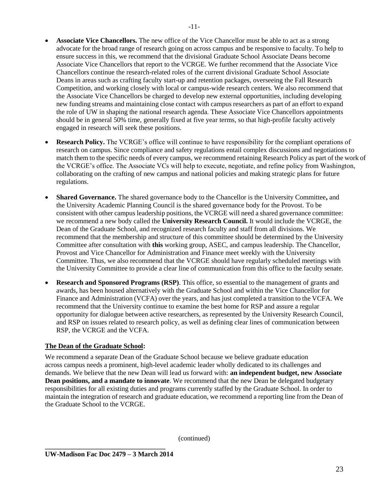- **Associate Vice Chancellors.** The new office of the Vice Chancellor must be able to act as a strong advocate for the broad range of research going on across campus and be responsive to faculty. To help to ensure success in this, we recommend that the divisional Graduate School Associate Deans become Associate Vice Chancellors that report to the VCRGE. We further recommend that the Associate Vice Chancellors continue the research-related roles of the current divisional Graduate School Associate Deans in areas such as crafting faculty start-up and retention packages, overseeing the Fall Research Competition, and working closely with local or campus-wide research centers. We also recommend that the Associate Vice Chancellors be charged to develop new external opportunities, including developing new funding streams and maintaining close contact with campus researchers as part of an effort to expand the role of UW in shaping the national research agenda. These Associate Vice Chancellors appointments should be in general 50% time, generally fixed at five year terms, so that high-profile faculty actively engaged in research will seek these positions.
- **Research Policy.** The VCRGE's office will continue to have responsibility for the compliant operations of research on campus. Since compliance and safety regulations entail complex discussions and negotiations to match them to the specific needs of every campus, we recommend retaining Research Policy as part of the work of the VCRGE's office. The Associate VCs will help to execute, negotiate, and refine policy from Washington, collaborating on the crafting of new campus and national policies and making strategic plans for future regulations.
- **Shared Governance.** The shared governance body to the Chancellor is the University Committee**,** and the University Academic Planning Council is the shared governance body for the Provost. To be consistent with other campus leadership positions, the VCRGE will need a shared governance committee: we recommend a new body called the **University Research Council.** It would include the VCRGE, the Dean of the Graduate School, and recognized research faculty and staff from all divisions. We recommend that the membership and structure of this committee should be determined by the University Committee after consultation with **this** working group, ASEC, and campus leadership. The Chancellor, Provost and Vice Chancellor for Administration and Finance meet weekly with the University Committee. Thus, we also recommend that the VCRGE should have regularly scheduled meetings with the University Committee to provide a clear line of communication from this office to the faculty senate.
- **Research and Sponsored Programs (RSP)**. This office, so essential to the management of grants and awards, has been housed alternatively with the Graduate School and within the Vice Chancellor for Finance and Administration (VCFA) over the years, and has just completed a transition to the VCFA. We recommend that the University continue to examine the best home for RSP and assure a regular opportunity for dialogue between active researchers, as represented by the University Research Council, and RSP on issues related to research policy, as well as defining clear lines of communication between RSP, the VCRGE and the VCFA.

### **The Dean of the Graduate School:**

We recommend a separate Dean of the Graduate School because we believe graduate education across campus needs a prominent, high-level academic leader wholly dedicated to its challenges and demands. We believe that the new Dean will lead us forward with: **an independent budget, new Associate Dean positions, and a mandate to innovate**. We recommend that the new Dean be delegated budgetary responsibilities for all existing duties and programs currently staffed by the Graduate School. In order to maintain the integration of research and graduate education, we recommend a reporting line from the Dean of the Graduate School to the VCRGE.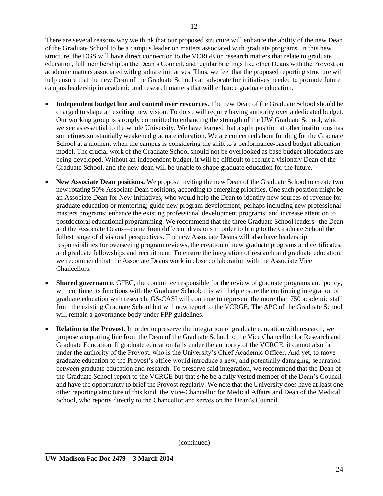There are several reasons why we think that our proposed structure will enhance the ability of the new Dean of the Graduate School to be a campus leader on matters associated with graduate programs. In this new structure, the DGS will have direct connection to the VCRGE on research matters that relate to graduate education, full membership on the Dean's Council, and regular briefings like other Deans with the Provost on academic matters associated with graduate initiatives. Thus, we feel that the proposed reporting structure will help ensure that the new Dean of the Graduate School can advocate for initiatives needed to promote future campus leadership in academic and research matters that will enhance graduate education.

- **Independent budget line and control over resources.** The new Dean of the Graduate School should be charged to shape an exciting new vision. To do so will require having authority over a dedicated budget. Our working group is strongly committed to enhancing the strength of the UW Graduate School, which we see as essential to the whole University. We have learned that a split position at other institutions has sometimes substantially weakened graduate education. We are concerned about funding for the Graduate School at a moment when the campus is considering the shift to a performance-based budget allocation model. The crucial work of the Graduate School should not be overlooked as base budget allocations are being developed. Without an independent budget, it will be difficult to recruit a visionary Dean of the Graduate School, and the new dean will be unable to shape graduate education for the future.
- **New Associate Dean positions.** We propose inviting the new Dean of the Graduate School to create two new rotating 50% Associate Dean positions, according to emerging priorities. One such position might be an Associate Dean for New Initiatives, who would help the Dean to identify new sources of revenue for graduate education or mentoring; guide new program development, perhaps including new professional masters programs; enhance the existing professional development programs; and increase attention to postdoctoral educational programming. We recommend that the three Graduate School leaders--the Dean and the Associate Deans—come from different divisions in order to bring to the Graduate School the fullest range of divisional perspectives. The new Associate Deans will also have leadership responsibilities for overseeing program reviews, the creation of new graduate programs and certificates, and graduate fellowships and recruitment. To ensure the integration of research and graduate education, we recommend that the Associate Deans work in close collaboration with the Associate Vice Chancellors.
- **Shared governance.** GFEC, the committee responsible for the review of graduate programs and policy, will continue its functions with the Graduate School; this will help ensure the continuing integration of graduate education with research. GS-CASI will continue to represent the more than 750 academic staff from the existing Graduate School but will now report to the VCRGE. The APC of the Graduate School will remain a governance body under FPP guidelines.
- **Relation to the Provost.** In order to preserve the integration of graduate education with research, we propose a reporting line from the Dean of the Graduate School to the Vice Chancellor for Research and Graduate Education. If graduate education falls under the authority of the VCRGE, it cannot also fall under the authority of the Provost, who is the University's Chief Academic Officer. And yet, to move graduate education to the Provost's office would introduce a new, and potentially damaging, separation between graduate education and research. To preserve said integration, we recommend that the Dean of the Graduate School report to the VCRGE but that s/he be a fully vested member of the Dean's Council and have the opportunity to brief the Provost regularly. We note that the University does have at least one other reporting structure of this kind: the Vice-Chancellor for Medical Affairs and Dean of the Medical School, who reports directly to the Chancellor and serves on the Dean's Council.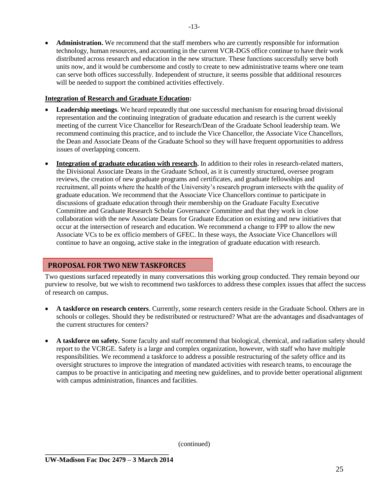**Administration.** We recommend that the staff members who are currently responsible for information technology, human resources, and accounting in the current VCR-DGS office continue to have their work distributed across research and education in the new structure. These functions successfully serve both units now, and it would be cumbersome and costly to create to new administrative teams where one team can serve both offices successfully. Independent of structure, it seems possible that additional resources will be needed to support the combined activities effectively.

#### **Integration of Research and Graduate Education:**

- **Leadership meetings**. We heard repeatedly that one successful mechanism for ensuring broad divisional representation and the continuing integration of graduate education and research is the current weekly meeting of the current Vice Chancellor for Research/Dean of the Graduate School leadership team. We recommend continuing this practice, and to include the Vice Chancellor, the Associate Vice Chancellors, the Dean and Associate Deans of the Graduate School so they will have frequent opportunities to address issues of overlapping concern.
- **Integration of graduate education with research.** In addition to their roles in research-related matters, the Divisional Associate Deans in the Graduate School, as it is currently structured, oversee program reviews, the creation of new graduate programs and certificates, and graduate fellowships and recruitment, all points where the health of the University's research program intersects with the quality of graduate education. We recommend that the Associate Vice Chancellors continue to participate in discussions of graduate education through their membership on the Graduate Faculty Executive Committee and Graduate Research Scholar Governance Committee and that they work in close collaboration with the new Associate Deans for Graduate Education on existing and new initiatives that occur at the intersection of research and education. We recommend a change to FPP to allow the new Associate VCs to be ex officio members of GFEC. In these ways, the Associate Vice Chancellors will continue to have an ongoing, active stake in the integration of graduate education with research.

# **PROPOSAL FOR TWO NEW TASKFORCES**

Two questions surfaced repeatedly in many conversations this working group conducted. They remain beyond our purview to resolve, but we wish to recommend two taskforces to address these complex issues that affect the success of research on campus.

- **A taskforce on research centers**. Currently, some research centers reside in the Graduate School. Others are in schools or colleges. Should they be redistributed or restructured? What are the advantages and disadvantages of the current structures for centers?
- **A taskforce on safety.** Some faculty and staff recommend that biological, chemical, and radiation safety should report to the VCRGE. Safety is a large and complex organization, however, with staff who have multiple responsibilities. We recommend a taskforce to address a possible restructuring of the safety office and its oversight structures to improve the integration of mandated activities with research teams, to encourage the campus to be proactive in anticipating and meeting new guidelines, and to provide better operational alignment with campus administration, finances and facilities.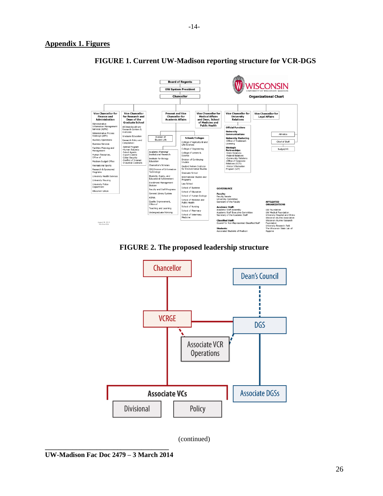#### **Appendix 1. Figures**



# **FIGURE 1. Current UW-Madison reporting structure for VCR-DGS**

**FIGURE 2. The proposed leadership structure**

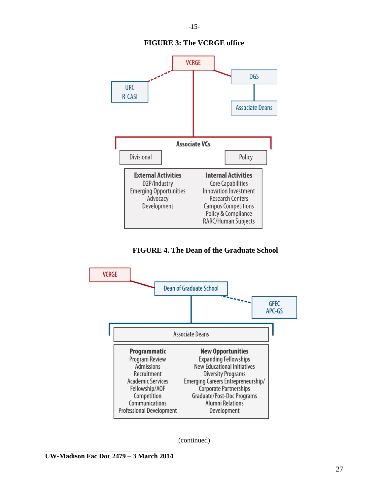

# **FIGURE 3: The VCRGE office**

**FIGURE 4. The Dean of the Graduate School**



**\_\_\_\_\_\_\_\_\_\_\_\_\_\_\_\_\_\_\_\_\_\_\_\_\_\_\_\_\_\_\_\_\_\_\_ UW-Madison Fac Doc 2479 – 3 March 2014**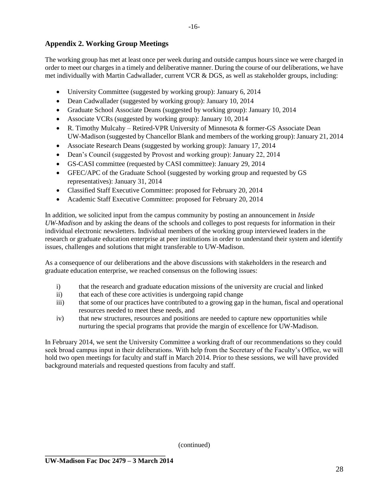# **Appendix 2. Working Group Meetings**

The working group has met at least once per week during and outside campus hours since we were charged in order to meet our charges in a timely and deliberative manner. During the course of our deliberations, we have met individually with Martin Cadwallader, current VCR & DGS, as well as stakeholder groups, including:

- University Committee (suggested by working group): January 6, 2014
- Dean Cadwallader (suggested by working group): January 10, 2014
- Graduate School Associate Deans (suggested by working group): January 10, 2014
- Associate VCRs (suggested by working group): January 10, 2014
- R. Timothy Mulcahy Retired-VPR University of Minnesota & former-GS Associate Dean UW-Madison (suggested by Chancellor Blank and members of the working group): January 21, 2014
- Associate Research Deans (suggested by working group): January 17, 2014
- Dean's Council (suggested by Provost and working group): January 22, 2014
- GS-CASI committee (requested by CASI committee): January 29, 2014
- GFEC/APC of the Graduate School (suggested by working group and requested by GS representatives): January 31, 2014
- Classified Staff Executive Committee: proposed for February 20, 2014
- Academic Staff Executive Committee: proposed for February 20, 2014

In addition, we solicited input from the campus community by posting an announcement in *Inside UW-Madison* and by asking the deans of the schools and colleges to post requests for information in their individual electronic newsletters. Individual members of the working group interviewed leaders in the research or graduate education enterprise at peer institutions in order to understand their system and identify issues, challenges and solutions that might transferable to UW-Madison.

As a consequence of our deliberations and the above discussions with stakeholders in the research and graduate education enterprise, we reached consensus on the following issues:

- i) that the research and graduate education missions of the university are crucial and linked
- ii) that each of these core activities is undergoing rapid change
- iii) that some of our practices have contributed to a growing gap in the human, fiscal and operational resources needed to meet these needs, and
- iv) that new structures, resources and positions are needed to capture new opportunities while nurturing the special programs that provide the margin of excellence for UW-Madison.

In February 2014, we sent the University Committee a working draft of our recommendations so they could seek broad campus input in their deliberations. With help from the Secretary of the Faculty's Office, we will hold two open meetings for faculty and staff in March 2014. Prior to these sessions, we will have provided background materials and requested questions from faculty and staff.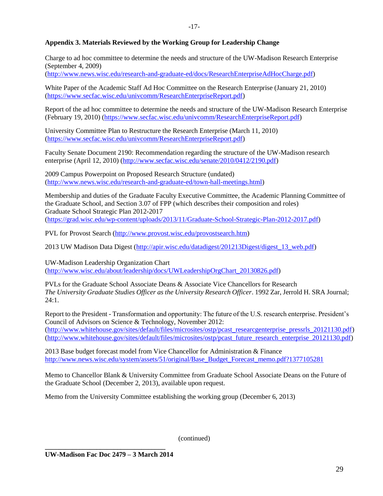#### **Appendix 3. Materials Reviewed by the Working Group for Leadership Change**

Charge to ad hoc committee to determine the needs and structure of the UW-Madison Research Enterprise (September 4, 2009)

[\(http://www.news.wisc.edu/research-and-graduate-ed/docs/ResearchEnterpriseAdHocCharge.pdf\)](http://www.news.wisc.edu/research-and-graduate-ed/docs/ResearchEnterpriseAdHocCharge.pdf)

White Paper of the Academic Staff Ad Hoc Committee on the Research Enterprise (January 21, 2010) [\(https://www.secfac.wisc.edu/univcomm/ResearchEnterpriseReport.pdf\)](https://www.secfac.wisc.edu/univcomm/ResearchEnterpriseReport.pdf)

Report of the ad hoc committee to determine the needs and structure of the UW-Madison Research Enterprise (February 19, 2010) [\(https://www.secfac.wisc.edu/univcomm/ResearchEnterpriseReport.pdf\)](https://www.secfac.wisc.edu/univcomm/ResearchEnterpriseReport.pdf)

University Committee Plan to Restructure the Research Enterprise (March 11, 2010) [\(https://www.secfac.wisc.edu/univcomm/ResearchEnterpriseReport.pdf\)](https://www.secfac.wisc.edu/univcomm/ResearchEnterpriseReport.pdf)

Faculty Senate Document 2190: Recommendation regarding the structure of the UW-Madison research enterprise (April 12, 2010) [\(http://www.secfac.wisc.edu/senate/2010/0412/2190.pdf\)](http://www.secfac.wisc.edu/senate/2010/0412/2190.pdf)

2009 Campus Powerpoint on Proposed Research Structure (undated) [\(http://www.news.wisc.edu/research-and-graduate-ed/town-hall-meetings.html\)](http://www.news.wisc.edu/research-and-graduate-ed/town-hall-meetings.html)

Membership and duties of the Graduate Faculty Executive Committee, the Academic Planning Committee of the Graduate School, and Section 3.07 of FPP (which describes their composition and roles) Graduate School Strategic Plan 2012-2017 [\(https://grad.wisc.edu/wp-content/uploads/2013/11/Graduate-School-Strategic-Plan-2012-2017.pdf\)](https://grad.wisc.edu/wp-content/uploads/2013/11/Graduate-School-Strategic-Plan-2012-2017.pdf)

PVL for Provost Search [\(http://www.provost.wisc.edu/provostsearch.htm\)](http://www.provost.wisc.edu/provostsearch.htm)

2013 UW Madison Data Digest [\(http://apir.wisc.edu/datadigest/201213Digest/digest\\_13\\_web.pdf\)](http://apir.wisc.edu/datadigest/201213Digest/digest_13_web.pdf)

UW-Madison Leadership Organization Chart [\(http://www.wisc.edu/about/leadership/docs/UWLeadershipOrgChart\\_20130826.pdf\)](http://www.wisc.edu/about/leadership/docs/UWLeadershipOrgChart_20130826.pdf)

PVLs for the Graduate School Associate Deans & Associate Vice Chancellors for Research *The University Graduate Studies Officer as the University Research Officer*. 1992 Zar, Jerrold H. SRA Journal; 24:1.

Report to the President - Transformation and opportunity: The future of the U.S. research enterprise. President's Council of Advisors on Science & Technology, November 2012: [\(http://www.whitehouse.gov/sites/default/files/microsites/ostp/pcast\\_researcgenterprise\\_pressrls\\_20121130.pdf\)](http://www.whitehouse.gov/sites/default/files/microsites/ostp/pcast_researcgenterprise_pressrls_20121130.pdf) [\(http://www.whitehouse.gov/sites/default/files/microsites/ostp/pcast\\_future\\_research\\_enterprise\\_20121130.pdf\)](http://www.whitehouse.gov/sites/default/files/microsites/ostp/pcast_future_research_enterprise_20121130.pdf)

2013 Base budget forecast model from Vice Chancellor for Administration & Finance [http://www.news.wisc.edu/system/assets/51/original/Base\\_Budget\\_Forecast\\_memo.pdf?1377105281](http://www.news.wisc.edu/system/assets/51/original/Base_Budget_Forecast_memo.pdf?1377105281)

Memo to Chancellor Blank & University Committee from Graduate School Associate Deans on the Future of the Graduate School (December 2, 2013), available upon request.

Memo from the University Committee establishing the working group (December 6, 2013)

(continued)

**\_\_\_\_\_\_\_\_\_\_\_\_\_\_\_\_\_\_\_\_\_\_\_\_\_\_\_\_\_\_\_\_\_\_\_ UW-Madison Fac Doc 2479 – 3 March 2014**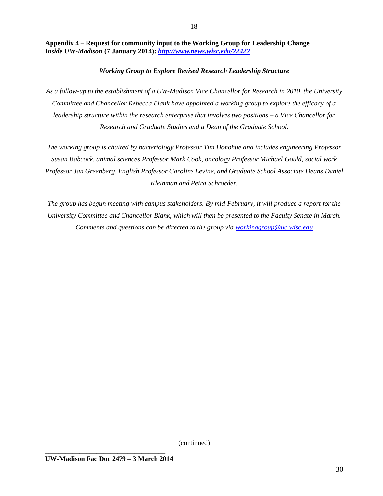**Appendix 4** – **Request for community input to the Working Group for Leadership Change** *Inside UW-Madison* **(7 January 2014):** *<http://www.news.wisc.edu/22422>*

#### *Working Group to Explore Revised Research Leadership Structure*

*As a follow-up to the establishment of a UW-Madison Vice Chancellor for Research in 2010, the University Committee and Chancellor Rebecca Blank have appointed a working group to explore the efficacy of a leadership structure within the research enterprise that involves two positions – a Vice Chancellor for Research and Graduate Studies and a Dean of the Graduate School.*

*The working group is chaired by bacteriology Professor Tim Donohue and includes engineering Professor Susan Babcock, animal sciences Professor Mark Cook, oncology Professor Michael Gould, social work Professor Jan Greenberg, English Professor Caroline Levine, and Graduate School Associate Deans Daniel Kleinman and Petra Schroeder.*

*The group has begun meeting with campus stakeholders. By mid-February, it will produce a report for the University Committee and Chancellor Blank, which will then be presented to the Faculty Senate in March. Comments and questions can be directed to the group via [workinggroup@uc.wisc.edu](mailto:workinggroup@uc.wisc.edu)*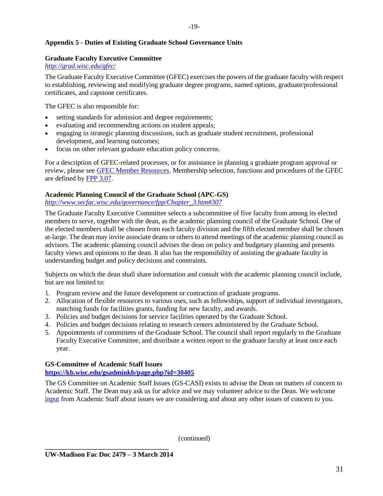#### **Appendix 5 - Duties of Existing Graduate School Governance Units**

#### **Graduate Faculty Executive Committee**

*<http://grad.wisc.edu/gfec/>*

The Graduate Faculty Executive Committee (GFEC) exercises the powers of the graduate faculty with respect to establishing, reviewing and modifying graduate degree programs, named options, graduate/professional certificates, and capstone certificates.

The GFEC is also responsible for:

- setting standards for admission and degree requirements;
- evaluating and recommending actions on student appeals;
- engaging in strategic planning discussions, such as graduate student recruitment, professional development, and learning outcomes;
- focus on other relevant graduate education policy concerns.

For a description of GFEC-related processes, or for assistance in planning a graduate program approval or review, please see [GFEC Member Resources.](https://kb.wisc.edu/GSAdminKB/page.php?id=31586) Membership selection, functions and procedures of the GFEC are defined b[y FPP 3.07.](http://secfac.wisc.edu/governance/FPP/Chapter_3.htm#307)

#### **Academic Planning Council of the Graduate School (APC-GS)**

*[http://www.secfac.wisc.edu/governance/fpp/Chapter\\_3.htm#307](http://www.secfac.wisc.edu/governance/fpp/Chapter_3.htm#307)*

The Graduate Faculty Executive Committee selects a subcommittee of five faculty from among its elected members to serve, together with the dean, as the academic planning council of the Graduate School. One of the elected members shall be chosen from each faculty division and the fifth elected member shall be chosen at-large. The dean may invite associate deans or others to attend meetings of the academic planning council as advisors. The academic planning council advises the dean on policy and budgetary planning and presents faculty views and opinions to the dean. It also has the responsibility of assisting the graduate faculty in understanding budget and policy decisions and constraints.

Subjects on which the dean shall share information and consult with the academic planning council include, but are not limited to:

- 1. Program review and the future development or contraction of graduate programs.
- 2. Allocation of flexible resources to various uses, such as fellowships, support of individual investigators, matching funds for facilities grants, funding for new faculty, and awards.
- 3. Policies and budget decisions for service facilities operated by the Graduate School.
- 4. Policies and budget decisions relating to research centers administered by the Graduate School.
- 5. Appointments of committees of the Graduate School. The council shall report regularly to the Graduate Faculty Executive Committee, and distribute a written report to the graduate faculty at least once each year.

#### **GS-Committee of Academic Staff Issues**

**<https://kb.wisc.edu/gsadminkb/page.php?id=30405>**

The GS Committee on Academic Staff Issues (GS-CASI) exists to advise the Dean on matters of concern to Academic Staff. The Dean may ask us for advice and we may volunteer advice to the Dean. We welcome [input](https://kb.wisc.edu/gsadminkb/page.php?id=30409#CASI-Input) from Academic Staff about issues we are considering and about any other issues of concern to you.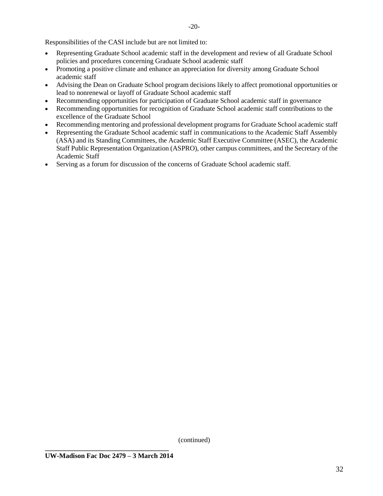Responsibilities of the CASI include but are not limited to:

- Representing Graduate School academic staff in the development and review of all Graduate School policies and procedures concerning Graduate School academic staff
- Promoting a positive climate and enhance an appreciation for diversity among Graduate School academic staff
- Advising the Dean on Graduate School program decisions likely to affect promotional opportunities or lead to nonrenewal or layoff of Graduate School academic staff
- Recommending opportunities for participation of Graduate School academic staff in governance
- Recommending opportunities for recognition of Graduate School academic staff contributions to the excellence of the Graduate School
- Recommending mentoring and professional development programs for Graduate School academic staff
- Representing the Graduate School academic staff in communications to the Academic Staff Assembly (ASA) and its Standing Committees, the Academic Staff Executive Committee (ASEC), the Academic Staff Public Representation Organization (ASPRO), other campus committees, and the Secretary of the Academic Staff
- Serving as a forum for discussion of the concerns of Graduate School academic staff.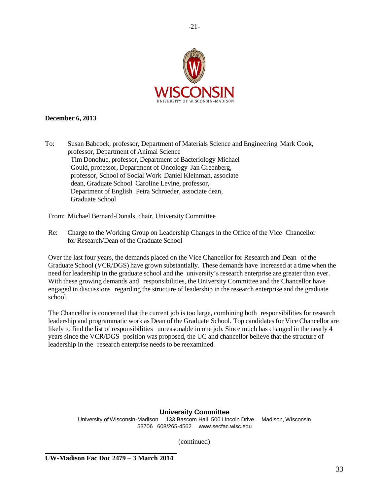

-21-

#### **December 6, 2013**

To: Susan Babcock, professor, Department of Materials Science and Engineering Mark Cook, professor, Department of Animal Science Tim Donohue, professor, Department of Bacteriology Michael Gould, professor, Department of Oncology Jan Greenberg, professor, School of Social Work Daniel Kleinman, associate dean, Graduate School Caroline Levine, professor, Department of English Petra Schroeder, associate dean, Graduate School

From: Michael Bernard-Donals, chair, University Committee

Re: Charge to the Working Group on Leadership Changes in the Office of the Vice Chancellor for Research/Dean of the Graduate School

Over the last four years, the demands placed on the Vice Chancellor for Research and Dean of the Graduate School (VCR/DGS) have grown substantially. These demands have increased at a time when the need for leadership in the graduate school and the university's research enterprise are greater than ever. With these growing demands and responsibilities, the University Committee and the Chancellor have engaged in discussions regarding the structure of leadership in the research enterprise and the graduate school.

The Chancellor is concerned that the current job is too large, combining both responsibilities for research leadership and programmatic work as Dean of the Graduate School. Top candidates for Vice Chancellor are likely to find the list of responsibilities unreasonable in one job. Since much has changed in the nearly 4 years since the VCR/DGS position was proposed, the UC and chancellor believe that the structure of leadership in the research enterprise needs to be reexamined.

#### **University Committee**

University of Wisconsin-Madison 133 Bascom Hall 500 Lincoln Drive Madison, Wisconsin 53706 608/265-4562 [www.secfac.wisc.edu](http://www.secfac.wisc.edu/)